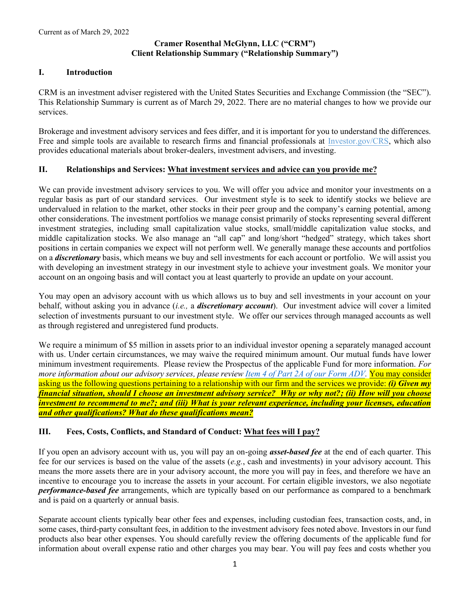# **Cramer Rosenthal McGlynn, LLC ("CRM") Client Relationship Summary ("Relationship Summary")**

# **I. Introduction**

CRM is an investment adviser registered with the United States Securities and Exchange Commission (the "SEC"). This Relationship Summary is current as of March 29, 2022. There are no material changes to how we provide our services.

Brokerage and investment advisory services and fees differ, and it is important for you to understand the differences. Free and simple tools are available to research firms and financial professionals at [Investor.gov/CRS,](https://www.investor.gov/CRS) which also provides educational materials about broker-dealers, investment advisers, and investing.

## **II. Relationships and Services: What investment services and advice can you provide me?**

We can provide investment advisory services to you. We will offer you advice and monitor your investments on a regular basis as part of our standard services. Our investment style is to seek to identify stocks we believe are undervalued in relation to the market, other stocks in their peer group and the company's earning potential, among other considerations. The investment portfolios we manage consist primarily of stocks representing several different investment strategies, including small capitalization value stocks, small/middle capitalization value stocks, and middle capitalization stocks. We also manage an "all cap" and long/short "hedged" strategy, which takes short positions in certain companies we expect will not perform well. We generally manage these accounts and portfolios on a *discretionary* basis, which means we buy and sell investments for each account or portfolio. We will assist you with developing an investment strategy in our investment style to achieve your investment goals. We monitor your account on an ongoing basis and will contact you at least quarterly to provide an update on your account.

You may open an advisory account with us which allows us to buy and sell investments in your account on your behalf, without asking you in advance (*i.e.,* a *discretionary account*). Our investment advice will cover a limited selection of investments pursuant to our investment style. We offer our services through managed accounts as well as through registered and unregistered fund products.

We require a minimum of \$5 million in assets prior to an individual investor opening a separately managed account with us. Under certain circumstances, we may waive the required minimum amount. Our mutual funds have lower minimum investment requirements. Please review the Prospectus of the applicable Fund for more information. *For more information about our advisory services, please review [Item 4 of Part 2A of our Form ADV.](http://www.crmfunds.com/wp-content/uploads/sites/3/CRM-Form-ADV-Part-2.pdf)* You may consider asking us the following questions pertaining to a relationship with our firm and the services we provide: *(i) Given my financial situation, should I choose an investment advisory service? Why or why not?; (ii) How will you choose investment to recommend to me?; and (iii) What is your relevant experience, including your licenses, education and other qualifications? What do these qualifications mean?*

## **III. Fees, Costs, Conflicts, and Standard of Conduct: What fees will I pay?**

If you open an advisory account with us, you will pay an on-going *asset-based fee* at the end of each quarter. This fee for our services is based on the value of the assets (*e.g.*, cash and investments) in your advisory account. This means the more assets there are in your advisory account, the more you will pay in fees, and therefore we have an incentive to encourage you to increase the assets in your account. For certain eligible investors, we also negotiate *performance-based fee* arrangements, which are typically based on our performance as compared to a benchmark and is paid on a quarterly or annual basis.

Separate account clients typically bear other fees and expenses, including custodian fees, transaction costs, and, in some cases, third-party consultant fees, in addition to the investment advisory fees noted above. Investors in our fund products also bear other expenses. You should carefully review the offering documents of the applicable fund for information about overall expense ratio and other charges you may bear. You will pay fees and costs whether you